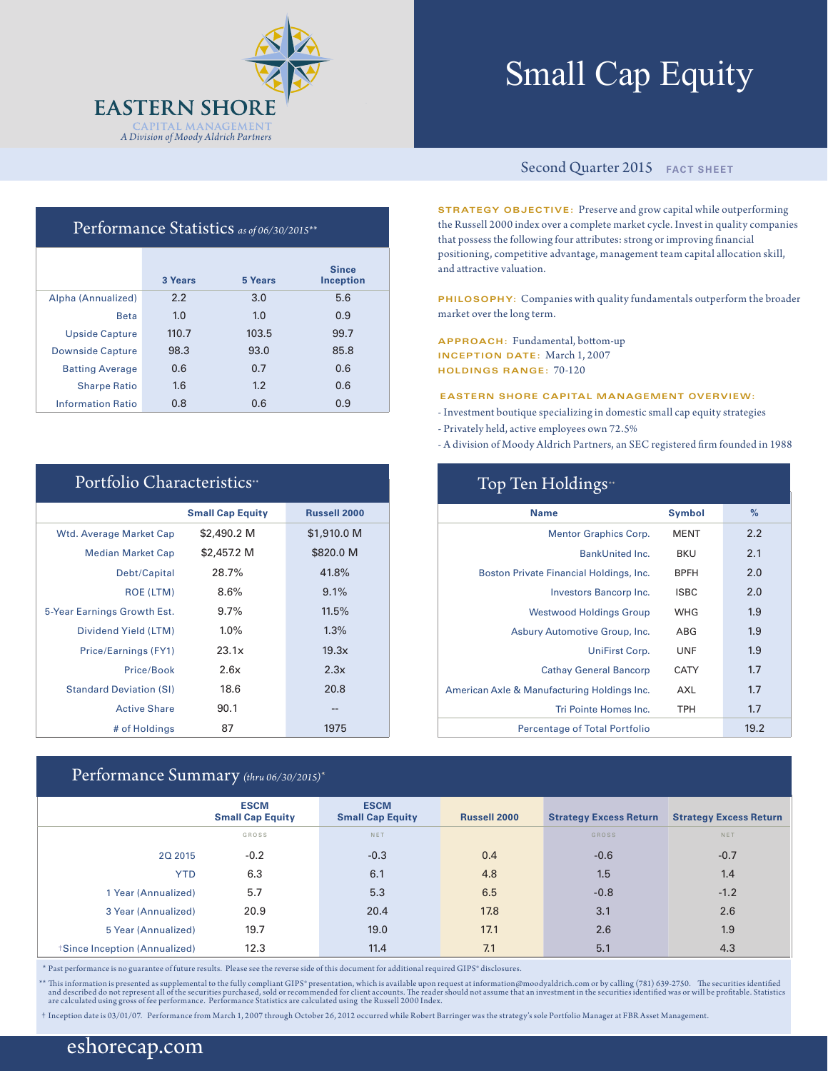

# Small Cap Equity

## Performance Statistics *as of 06/30/2015\*\**

|                          | 3 Years | 5 Years | <b>Since</b><br><b>Inception</b> |
|--------------------------|---------|---------|----------------------------------|
| Alpha (Annualized)       | 2.2     | 3.0     | 5.6                              |
| <b>Beta</b>              | 1.0     | 1.0     | 0.9                              |
| <b>Upside Capture</b>    | 110.7   | 103.5   | 99.7                             |
| <b>Downside Capture</b>  | 98.3    | 93.0    | 85.8                             |
| <b>Batting Average</b>   | 0.6     | 0.7     | 0.6                              |
| <b>Sharpe Ratio</b>      | 1.6     | 1.2     | 0.6                              |
| <b>Information Ratio</b> | 0.8     | 0.6     | 0.9                              |

| Portfolio Characteristics <sup>**</sup> |                         |                     |  |  |  |  |  |
|-----------------------------------------|-------------------------|---------------------|--|--|--|--|--|
|                                         | <b>Small Cap Equity</b> | <b>Russell 2000</b> |  |  |  |  |  |
| <b>Wtd. Average Market Cap</b>          | \$2,490.2 M             | \$1,910.0 M         |  |  |  |  |  |
| <b>Median Market Cap</b>                | \$2,457.2 M             | \$820.0 M           |  |  |  |  |  |
| Debt/Capital                            | 28.7%                   | 41.8%               |  |  |  |  |  |
| ROE (LTM)                               | 8.6%                    | 9.1%                |  |  |  |  |  |
| 5-Year Earnings Growth Est.             | $9.7\%$                 | 11.5%               |  |  |  |  |  |
| Dividend Yield (LTM)                    | $1.0\%$                 | $1.3\%$             |  |  |  |  |  |
| Price/Earnings (FY1)                    | 23.1x                   | 19.3x               |  |  |  |  |  |
| Price/Book                              | 2.6x                    | 2.3x                |  |  |  |  |  |
| <b>Standard Deviation (SI)</b>          | 18.6                    | 20.8                |  |  |  |  |  |
| <b>Active Share</b>                     | 90.1                    |                     |  |  |  |  |  |
| # of Holdings                           | 87                      | 1975                |  |  |  |  |  |

### Performance Summary *(thru 06/30/2015)\**

#### Second Quarter 2015 **FACT SHEET**

**STRATEGY OBJECTIVE:** Preserve and grow capital while outperforming the Russell 2000 index over a complete market cycle. Invest in quality companies that possess the following four attributes: strong or improving financial positioning, competitive advantage, management team capital allocation skill, and attractive valuation.

**PHILOSOPHY:** Companies with quality fundamentals outperform the broader market over the long term.

**APPROACH:** Fundamental, bottom-up **INCEPTION DATE:** March 1, 2007 **HOLDINGS RANGE:** 70-120

#### **EASTERN SHORE CAPITAL MANAGEMENT OVERVIEW:**

- Investment boutique specializing in domestic small cap equity strategies
- Privately held, active employees own 72.5%
- A division of Moody Aldrich Partners, an SEC registered firm founded in 1988

| Top Ten Holdings <sup>*</sup>               |               |               |  |  |  |
|---------------------------------------------|---------------|---------------|--|--|--|
| <b>Name</b>                                 | <b>Symbol</b> | $\frac{9}{6}$ |  |  |  |
| <b>Mentor Graphics Corp.</b>                | <b>MENT</b>   | 2.2           |  |  |  |
| <b>BankUnited Inc.</b>                      | <b>BKU</b>    | 2.1           |  |  |  |
| Boston Private Financial Holdings, Inc.     | <b>BPFH</b>   | 2.0           |  |  |  |
| Investors Bancorp Inc.                      | <b>ISBC</b>   | 2.0           |  |  |  |
| <b>Westwood Holdings Group</b>              | <b>WHG</b>    | 1.9           |  |  |  |
| Asbury Automotive Group, Inc.               | ABG           | 1.9           |  |  |  |
| UniFirst Corp.                              | <b>UNF</b>    | 1.9           |  |  |  |
| <b>Cathay General Bancorp</b>               | <b>CATY</b>   | 1.7           |  |  |  |
| American Axle & Manufacturing Holdings Inc. | AXL           | 1.7           |  |  |  |
| Tri Pointe Homes Inc.                       | <b>TPH</b>    | 1.7           |  |  |  |
| Percentage of Total Portfolio               |               | 19.2          |  |  |  |

|                              | <b>ESCM</b><br><b>Small Cap Equity</b> | <b>ESCM</b><br><b>Small Cap Equity</b> | <b>Russell 2000</b> | <b>Strategy Excess Return</b> | <b>Strategy Excess Return</b> |
|------------------------------|----------------------------------------|----------------------------------------|---------------------|-------------------------------|-------------------------------|
|                              | GROSS                                  | NET                                    |                     | <b>GROSS</b>                  | NET                           |
| 20 20 15                     | $-0.2$                                 | $-0.3$                                 | 0.4                 | $-0.6$                        | $-0.7$                        |
| <b>YTD</b>                   | 6.3                                    | 6.1                                    | 4.8                 | 1.5                           | 1.4                           |
| 1 Year (Annualized)          | 5.7                                    | 5.3                                    | 6.5                 | $-0.8$                        | $-1.2$                        |
| 3 Year (Annualized)          | 20.9                                   | 20.4                                   | 17.8                | 3.1                           | 2.6                           |
| 5 Year (Annualized)          | 19.7                                   | 19.0                                   | 17.1                | 2.6                           | 1.9                           |
| Since Inception (Annualized) | 12.3                                   | 11.4                                   | 7.1                 | 5.1                           | 4.3                           |

\* Past performance is no guarantee of future results. Please see the reverse side of this document for additional required GIPS® disclosures.

\*\* This information is presented as supplemental to the fully compliant GIPS\* presentation, which is available upon request at information@moodyaldrich.com or by calling (781) 639-2750. The securities identified and descri

† Inception date is 03/01/07. Performance from March 1, 2007 through October 26, 2012 occurred while Robert Barringer was the strategy's sole Portfolio Manager at FBR Asset Management.